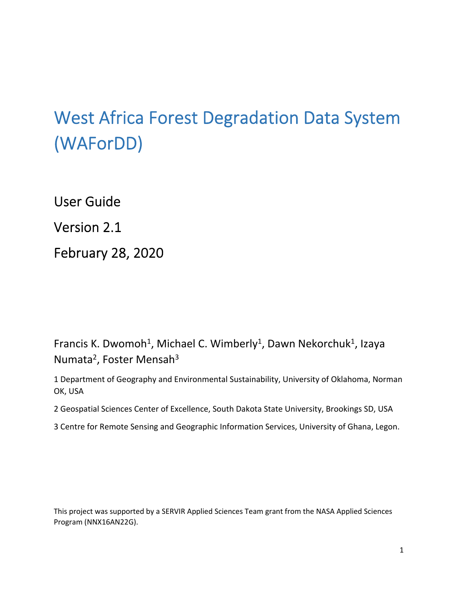# West Africa Forest Degradation Data System (WAForDD)

User Guide

Version 2.1

February 28, 2020

Francis K. Dwomoh<sup>1</sup>, Michael C. Wimberly<sup>1</sup>, Dawn Nekorchuk<sup>1</sup>, Izaya Numata<sup>2</sup>, Foster Mensah<sup>3</sup>

1 Department of Geography and Environmental Sustainability, University of Oklahoma, Norman OK, USA

2 Geospatial Sciences Center of Excellence, South Dakota State University, Brookings SD, USA

3 Centre for Remote Sensing and Geographic Information Services, University of Ghana, Legon.

This project was supported by a SERVIR Applied Sciences Team grant from the NASA Applied Sciences Program (NNX16AN22G).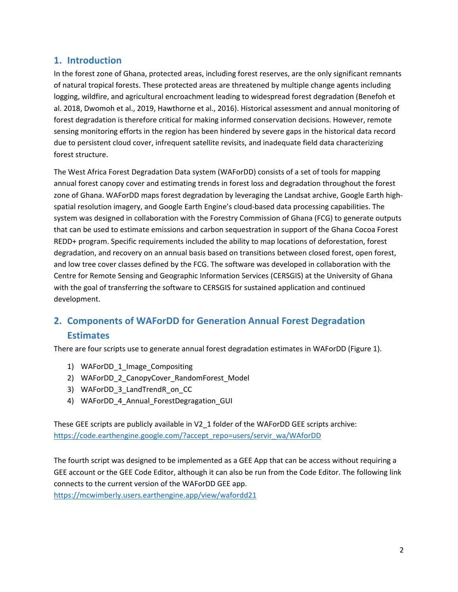# **1. Introduction**

In the forest zone of Ghana, protected areas, including forest reserves, are the only significant remnants of natural tropical forests. These protected areas are threatened by multiple change agents including logging, wildfire, and agricultural encroachment leading to widespread forest degradation (Benefoh et al. 2018, Dwomoh et al., 2019, Hawthorne et al., 2016). Historical assessment and annual monitoring of forest degradation is therefore critical for making informed conservation decisions. However, remote sensing monitoring efforts in the region has been hindered by severe gaps in the historical data record due to persistent cloud cover, infrequent satellite revisits, and inadequate field data characterizing forest structure.

The West Africa Forest Degradation Data system (WAForDD) consists of a set of tools for mapping annual forest canopy cover and estimating trends in forest loss and degradation throughout the forest zone of Ghana. WAForDD maps forest degradation by leveraging the Landsat archive, Google Earth high‐ spatial resolution imagery, and Google Earth Engine's cloud‐based data processing capabilities. The system was designed in collaboration with the Forestry Commission of Ghana (FCG) to generate outputs that can be used to estimate emissions and carbon sequestration in support of the Ghana Cocoa Forest REDD+ program. Specific requirements included the ability to map locations of deforestation, forest degradation, and recovery on an annual basis based on transitions between closed forest, open forest, and low tree cover classes defined by the FCG. The software was developed in collaboration with the Centre for Remote Sensing and Geographic Information Services (CERSGIS) at the University of Ghana with the goal of transferring the software to CERSGIS for sustained application and continued development.

# **2. Components of WAForDD for Generation Annual Forest Degradation Estimates**

There are four scripts use to generate annual forest degradation estimates in WAForDD (Figure 1).

- 1) WAForDD 1 Image Compositing
- 2) WAForDD\_2\_CanopyCover\_RandomForest\_Model
- 3) WAForDD\_3\_LandTrendR\_on\_CC
- 4) WAForDD\_4\_Annual\_ForestDegragation\_GUI

These GEE scripts are publicly available in V2\_1 folder of the WAForDD GEE scripts archive: https://code.earthengine.google.com/?accept\_repo=users/servir\_wa/WAforDD

The fourth script was designed to be implemented as a GEE App that can be access without requiring a GEE account or the GEE Code Editor, although it can also be run from the Code Editor. The following link connects to the current version of the WAForDD GEE app.

https://mcwimberly.users.earthengine.app/view/wafordd21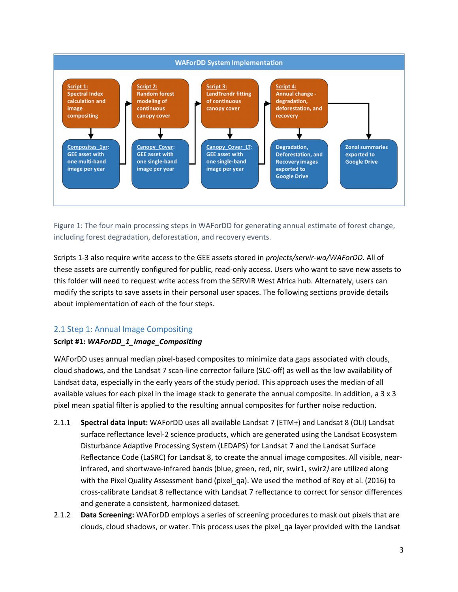

Figure 1: The four main processing steps in WAForDD for generating annual estimate of forest change, including forest degradation, deforestation, and recovery events.

Scripts 1‐3 also require write access to the GEE assets stored in *projects/servir‐wa/WAForDD*. All of these assets are currently configured for public, read‐only access. Users who want to save new assets to this folder will need to request write access from the SERVIR West Africa hub. Alternately, users can modify the scripts to save assets in their personal user spaces. The following sections provide details about implementation of each of the four steps.

# 2.1 Step 1: Annual Image Compositing

#### **Script #1:** *WAForDD\_1\_Image\_Compositing*

WAForDD uses annual median pixel‐based composites to minimize data gaps associated with clouds, cloud shadows, and the Landsat 7 scan‐line corrector failure (SLC‐off) as well as the low availability of Landsat data, especially in the early years of the study period. This approach uses the median of all available values for each pixel in the image stack to generate the annual composite. In addition, a 3 x 3 pixel mean spatial filter is applied to the resulting annual composites for further noise reduction.

- 2.1.1 **Spectral data input:** WAForDD uses all available Landsat 7 (ETM+) and Landsat 8 (OLI) Landsat surface reflectance level‐2 science products, which are generated using the Landsat Ecosystem Disturbance Adaptive Processing System (LEDAPS) for Landsat 7 and the Landsat Surface Reflectance Code (LaSRC) for Landsat 8, to create the annual image composites. All visible, near‐ infrared, and shortwave‐infrared bands (blue, green, red, nir, swir1, swir2*)* are utilized along with the Pixel Quality Assessment band (pixel\_qa). We used the method of Roy et al. (2016) to cross‐calibrate Landsat 8 reflectance with Landsat 7 reflectance to correct for sensor differences and generate a consistent, harmonized dataset.
- 2.1.2 **Data Screening:** WAForDD employs a series of screening procedures to mask out pixels that are clouds, cloud shadows, or water. This process uses the pixel\_qa layer provided with the Landsat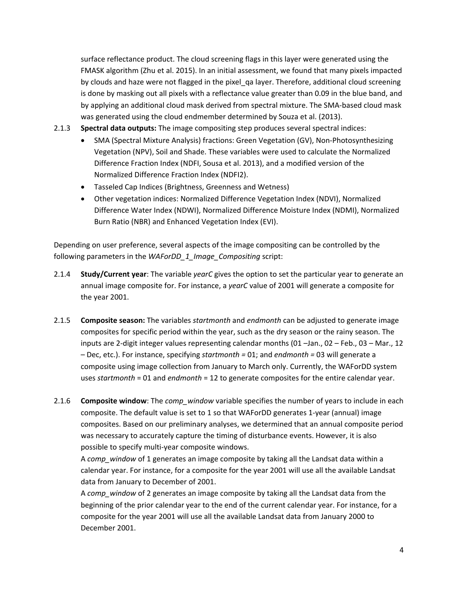surface reflectance product. The cloud screening flags in this layer were generated using the FMASK algorithm (Zhu et al. 2015). In an initial assessment, we found that many pixels impacted by clouds and haze were not flagged in the pixel\_qa layer. Therefore, additional cloud screening is done by masking out all pixels with a reflectance value greater than 0.09 in the blue band, and by applying an additional cloud mask derived from spectral mixture. The SMA‐based cloud mask was generated using the cloud endmember determined by Souza et al. (2013).

2.1.3 **Spectral data outputs:** The image compositing step produces several spectral indices:

- SMA (Spectral Mixture Analysis) fractions: Green Vegetation (GV), Non-Photosynthesizing Vegetation (NPV), Soil and Shade. These variables were used to calculate the Normalized Difference Fraction Index (NDFI, Sousa et al. 2013), and a modified version of the Normalized Difference Fraction Index (NDFI2).
- Tasseled Cap Indices (Brightness, Greenness and Wetness)
- Other vegetation indices: Normalized Difference Vegetation Index (NDVI), Normalized Difference Water Index (NDWI), Normalized Difference Moisture Index (NDMI), Normalized Burn Ratio (NBR) and Enhanced Vegetation Index (EVI).

Depending on user preference, several aspects of the image compositing can be controlled by the following parameters in the *WAForDD\_1\_Image\_Compositing* script:

- 2.1.4 **Study/Current year**: The variable *yearC* gives the option to set the particular year to generate an annual image composite for. For instance, a *yearC* value of 2001 will generate a composite for the year 2001.
- 2.1.5 **Composite season:** The variables *startmonth* and *endmonth* can be adjusted to generate image composites for specific period within the year, such as the dry season or the rainy season. The inputs are 2‐digit integer values representing calendar months (01 –Jan., 02 – Feb., 03 – Mar., 12 – Dec, etc.). For instance, specifying *startmonth =* 01; and *endmonth =* 03 will generate a composite using image collection from January to March only. Currently, the WAForDD system uses *startmonth* = 01 and *endmonth* = 12 to generate composites for the entire calendar year.
- 2.1.6 **Composite window**: The *comp\_window* variable specifies the number of years to include in each composite. The default value is set to 1 so that WAForDD generates 1‐year (annual) image composites. Based on our preliminary analyses, we determined that an annual composite period was necessary to accurately capture the timing of disturbance events. However, it is also possible to specify multi‐year composite windows.

A *comp\_window* of 1 generates an image composite by taking all the Landsat data within a calendar year. For instance, for a composite for the year 2001 will use all the available Landsat data from January to December of 2001.

A *comp\_window* of 2 generates an image composite by taking all the Landsat data from the beginning of the prior calendar year to the end of the current calendar year. For instance, for a composite for the year 2001 will use all the available Landsat data from January 2000 to December 2001.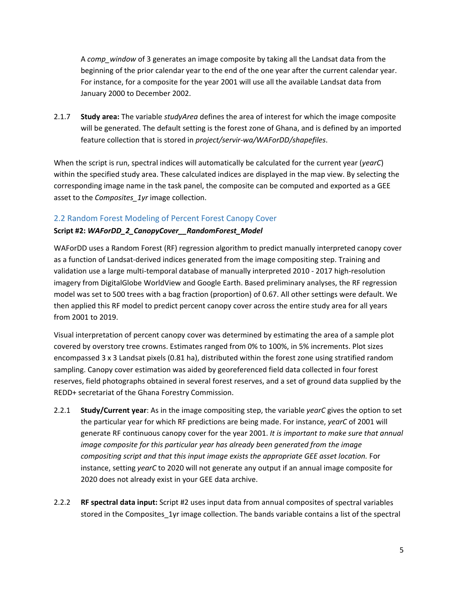A *comp\_window* of 3 generates an image composite by taking all the Landsat data from the beginning of the prior calendar year to the end of the one year after the current calendar year. For instance, for a composite for the year 2001 will use all the available Landsat data from January 2000 to December 2002.

2.1.7 **Study area:** The variable *studyArea* defines the area of interest for which the image composite will be generated. The default setting is the forest zone of Ghana, and is defined by an imported feature collection that is stored in *project/servir‐wa/WAForDD/shapefiles*.

When the script is run, spectral indices will automatically be calculated for the current year (*yearC*) within the specified study area. These calculated indices are displayed in the map view. By selecting the corresponding image name in the task panel, the composite can be computed and exported as a GEE asset to the *Composites\_1yr* image collection.

#### 2.2 Random Forest Modeling of Percent Forest Canopy Cover

#### **Script #2:** *WAForDD\_2\_CanopyCover\_\_RandomForest\_Model*

WAForDD uses a Random Forest (RF) regression algorithm to predict manually interpreted canopy cover as a function of Landsat‐derived indices generated from the image compositing step. Training and validation use a large multi-temporal database of manually interpreted 2010 - 2017 high-resolution imagery from DigitalGlobe WorldView and Google Earth. Based preliminary analyses, the RF regression model was set to 500 trees with a bag fraction (proportion) of 0.67. All other settings were default. We then applied this RF model to predict percent canopy cover across the entire study area for all years from 2001 to 2019.

Visual interpretation of percent canopy cover was determined by estimating the area of a sample plot covered by overstory tree crowns. Estimates ranged from 0% to 100%, in 5% increments. Plot sizes encompassed 3 x 3 Landsat pixels (0.81 ha), distributed within the forest zone using stratified random sampling. Canopy cover estimation was aided by georeferenced field data collected in four forest reserves, field photographs obtained in several forest reserves, and a set of ground data supplied by the REDD+ secretariat of the Ghana Forestry Commission.

- 2.2.1 **Study/Current year**: As in the image compositing step, the variable *yearC* gives the option to set the particular year for which RF predictions are being made. For instance, *yearC* of 2001 will generate RF continuous canopy cover for the year 2001. *It is important to make sure that annual image composite for this particular year has already been generated from the image compositing script and that this input image exists the appropriate GEE asset location.* For instance, setting *yearC* to 2020 will not generate any output if an annual image composite for 2020 does not already exist in your GEE data archive.
- 2.2.2 **RF spectral data input:** Script #2 uses input data from annual composites of spectral variables stored in the Composites\_1yr image collection. The bands variable contains a list of the spectral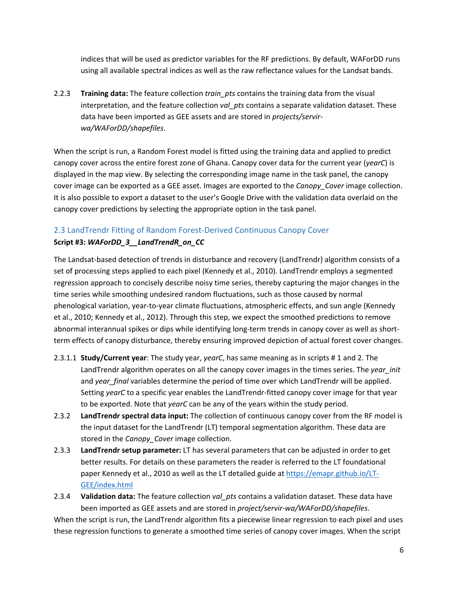indices that will be used as predictor variables for the RF predictions. By default, WAForDD runs using all available spectral indices as well as the raw reflectance values for the Landsat bands.

2.2.3 **Training data:** The feature collection *train\_pts* contains the training data from the visual interpretation, and the feature collection *val pts* contains a separate validation dataset. These data have been imported as GEE assets and are stored in *projects/servir‐ wa/WAForDD/shapefiles*.

When the script is run, a Random Forest model is fitted using the training data and applied to predict canopy cover across the entire forest zone of Ghana. Canopy cover data for the current year (*yearC*) is displayed in the map view. By selecting the corresponding image name in the task panel, the canopy cover image can be exported as a GEE asset. Images are exported to the *Canopy\_Cover* image collection. It is also possible to export a dataset to the user's Google Drive with the validation data overlaid on the canopy cover predictions by selecting the appropriate option in the task panel.

# 2.3 LandTrendr Fitting of Random Forest‐Derived Continuous Canopy Cover

# **Script #3:** *WAForDD\_3\_\_LandTrendR\_on\_CC*

The Landsat‐based detection of trends in disturbance and recovery (LandTrendr) algorithm consists of a set of processing steps applied to each pixel (Kennedy et al., 2010). LandTrendr employs a segmented regression approach to concisely describe noisy time series, thereby capturing the major changes in the time series while smoothing undesired random fluctuations, such as those caused by normal phenological variation, year‐to‐year climate fluctuations, atmospheric effects, and sun angle (Kennedy et al., 2010; Kennedy et al., 2012). Through this step, we expect the smoothed predictions to remove abnormal interannual spikes or dips while identifying long-term trends in canopy cover as well as shortterm effects of canopy disturbance, thereby ensuring improved depiction of actual forest cover changes.

- 2.3.1.1 **Study/Current year**: The study year, *yearC*, has same meaning as in scripts # 1 and 2. The LandTrendr algorithm operates on all the canopy cover images in the times series. The *year\_init* and *year\_final* variables determine the period of time over which LandTrendr will be applied. Setting *yearC* to a specific year enables the LandTrendr‐fitted canopy cover image for that year to be exported. Note that *yearC* can be any of the years within the study period.
- 2.3.2 **LandTrendr spectral data input:** The collection of continuous canopy cover from the RF model is the input dataset for the LandTrendr (LT) temporal segmentation algorithm. These data are stored in the *Canopy\_Cover* image collection.
- 2.3.3 **LandTrendr setup parameter:** LT has several parameters that can be adjusted in order to get better results. For details on these parameters the reader is referred to the LT foundational paper Kennedy et al., 2010 as well as the LT detailed guide at https://emapr.github.io/LT‐ GEE/index.html
- 2.3.4 **Validation data:** The feature collection *val\_pts* contains a validation dataset. These data have been imported as GEE assets and are stored in *project/servir‐wa/WAForDD/shapefiles*.

When the script is run, the LandTrendr algorithm fits a piecewise linear regression to each pixel and uses these regression functions to generate a smoothed time series of canopy cover images. When the script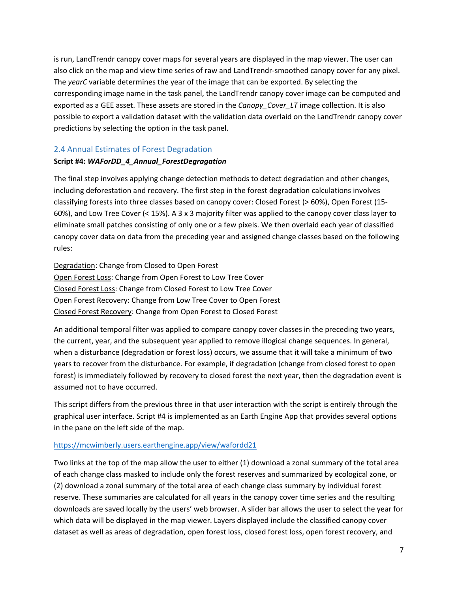is run, LandTrendr canopy cover maps for several years are displayed in the map viewer. The user can also click on the map and view time series of raw and LandTrendr‐smoothed canopy cover for any pixel. The *yearC* variable determines the year of the image that can be exported. By selecting the corresponding image name in the task panel, the LandTrendr canopy cover image can be computed and exported as a GEE asset. These assets are stored in the *Canopy\_Cover\_LT* image collection. It is also possible to export a validation dataset with the validation data overlaid on the LandTrendr canopy cover predictions by selecting the option in the task panel.

#### 2.4 Annual Estimates of Forest Degradation

#### **Script #4:** *WAForDD\_4\_Annual\_ForestDegragation*

The final step involves applying change detection methods to detect degradation and other changes, including deforestation and recovery. The first step in the forest degradation calculations involves classifying forests into three classes based on canopy cover: Closed Forest (> 60%), Open Forest (15‐ 60%), and Low Tree Cover (< 15%). A 3 x 3 majority filter was applied to the canopy cover class layer to eliminate small patches consisting of only one or a few pixels. We then overlaid each year of classified canopy cover data on data from the preceding year and assigned change classes based on the following rules:

Degradation: Change from Closed to Open Forest Open Forest Loss: Change from Open Forest to Low Tree Cover Closed Forest Loss: Change from Closed Forest to Low Tree Cover Open Forest Recovery: Change from Low Tree Cover to Open Forest Closed Forest Recovery: Change from Open Forest to Closed Forest

An additional temporal filter was applied to compare canopy cover classes in the preceding two years, the current, year, and the subsequent year applied to remove illogical change sequences. In general, when a disturbance (degradation or forest loss) occurs, we assume that it will take a minimum of two years to recover from the disturbance. For example, if degradation (change from closed forest to open forest) is immediately followed by recovery to closed forest the next year, then the degradation event is assumed not to have occurred.

This script differs from the previous three in that user interaction with the script is entirely through the graphical user interface. Script #4 is implemented as an Earth Engine App that provides several options in the pane on the left side of the map.

#### https://mcwimberly.users.earthengine.app/view/wafordd21

Two links at the top of the map allow the user to either (1) download a zonal summary of the total area of each change class masked to include only the forest reserves and summarized by ecological zone, or (2) download a zonal summary of the total area of each change class summary by individual forest reserve. These summaries are calculated for all years in the canopy cover time series and the resulting downloads are saved locally by the users' web browser. A slider bar allows the user to select the year for which data will be displayed in the map viewer. Layers displayed include the classified canopy cover dataset as well as areas of degradation, open forest loss, closed forest loss, open forest recovery, and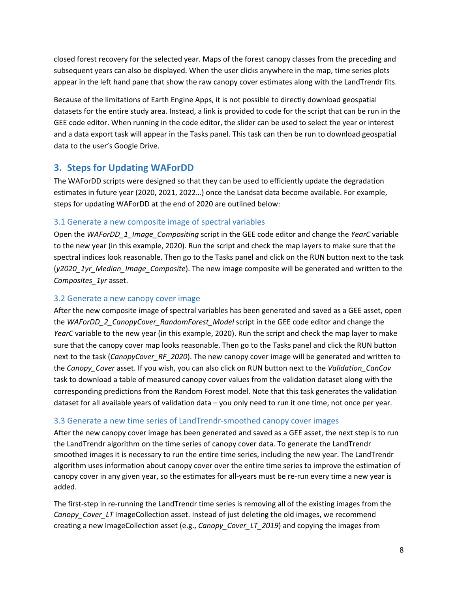closed forest recovery for the selected year. Maps of the forest canopy classes from the preceding and subsequent years can also be displayed. When the user clicks anywhere in the map, time series plots appear in the left hand pane that show the raw canopy cover estimates along with the LandTrendr fits.

Because of the limitations of Earth Engine Apps, it is not possible to directly download geospatial datasets for the entire study area. Instead, a link is provided to code for the script that can be run in the GEE code editor. When running in the code editor, the slider can be used to select the year or interest and a data export task will appear in the Tasks panel. This task can then be run to download geospatial data to the user's Google Drive.

# **3. Steps for Updating WAForDD**

The WAForDD scripts were designed so that they can be used to efficiently update the degradation estimates in future year (2020, 2021, 2022…) once the Landsat data become available. For example, steps for updating WAForDD at the end of 2020 are outlined below:

#### 3.1 Generate a new composite image of spectral variables

Open the *WAForDD\_1\_Image\_Compositing* script in the GEE code editor and change the *YearC* variable to the new year (in this example, 2020). Run the script and check the map layers to make sure that the spectral indices look reasonable. Then go to the Tasks panel and click on the RUN button next to the task (*y2020\_1yr\_Median\_Image\_Composite*). The new image composite will be generated and written to the *Composites\_1yr* asset.

#### 3.2 Generate a new canopy cover image

After the new composite image of spectral variables has been generated and saved as a GEE asset, open the *WAForDD\_2\_CanopyCover\_RandomForest\_Model* script in the GEE code editor and change the *YearC* variable to the new year (in this example, 2020). Run the script and check the map layer to make sure that the canopy cover map looks reasonable. Then go to the Tasks panel and click the RUN button next to the task (*CanopyCover\_RF\_2020*). The new canopy cover image will be generated and written to the *Canopy\_Cover* asset. If you wish, you can also click on RUN button next to the *Validation\_CanCov* task to download a table of measured canopy cover values from the validation dataset along with the corresponding predictions from the Random Forest model. Note that this task generates the validation dataset for all available years of validation data – you only need to run it one time, not once per year.

#### 3.3 Generate a new time series of LandTrendr‐smoothed canopy cover images

After the new canopy cover image has been generated and saved as a GEE asset, the next step is to run the LandTrendr algorithm on the time series of canopy cover data. To generate the LandTrendr smoothed images it is necessary to run the entire time series, including the new year. The LandTrendr algorithm uses information about canopy cover over the entire time series to improve the estimation of canopy cover in any given year, so the estimates for all-years must be re-run every time a new year is added.

The first‐step in re‐running the LandTrendr time series is removing all of the existing images from the *Canopy Cover LT* ImageCollection asset. Instead of just deleting the old images, we recommend creating a new ImageCollection asset (e.g., *Canopy\_Cover\_LT\_2019*) and copying the images from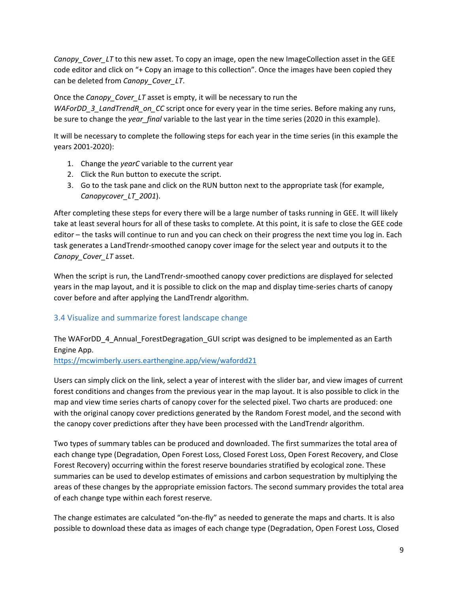*Canopy Cover* LT to this new asset. To copy an image, open the new ImageCollection asset in the GEE code editor and click on "+ Copy an image to this collection". Once the images have been copied they can be deleted from *Canopy\_Cover\_LT*.

#### Once the *Canopy\_Cover\_LT* asset is empty, it will be necessary to run the

*WAForDD\_3\_LandTrendR\_on\_CC* script once for every year in the time series. Before making any runs, be sure to change the *year final* variable to the last year in the time series (2020 in this example).

It will be necessary to complete the following steps for each year in the time series (in this example the years 2001‐2020):

- 1. Change the *yearC* variable to the current year
- 2. Click the Run button to execute the script.
- 3. Go to the task pane and click on the RUN button next to the appropriate task (for example, *Canopycover\_LT\_2001*).

After completing these steps for every there will be a large number of tasks running in GEE. It will likely take at least several hours for all of these tasks to complete. At this point, it is safe to close the GEE code editor – the tasks will continue to run and you can check on their progress the next time you log in. Each task generates a LandTrendr‐smoothed canopy cover image for the select year and outputs it to the *Canopy\_Cover\_LT* asset.

When the script is run, the LandTrendr‐smoothed canopy cover predictions are displayed for selected years in the map layout, and it is possible to click on the map and display time‐series charts of canopy cover before and after applying the LandTrendr algorithm.

# 3.4 Visualize and summarize forest landscape change

The WAForDD\_4\_Annual\_ForestDegragation\_GUI script was designed to be implemented as an Earth Engine App.

https://mcwimberly.users.earthengine.app/view/wafordd21

Users can simply click on the link, select a year of interest with the slider bar, and view images of current forest conditions and changes from the previous year in the map layout. It is also possible to click in the map and view time series charts of canopy cover for the selected pixel. Two charts are produced: one with the original canopy cover predictions generated by the Random Forest model, and the second with the canopy cover predictions after they have been processed with the LandTrendr algorithm.

Two types of summary tables can be produced and downloaded. The first summarizes the total area of each change type (Degradation, Open Forest Loss, Closed Forest Loss, Open Forest Recovery, and Close Forest Recovery) occurring within the forest reserve boundaries stratified by ecological zone. These summaries can be used to develop estimates of emissions and carbon sequestration by multiplying the areas of these changes by the appropriate emission factors. The second summary provides the total area of each change type within each forest reserve.

The change estimates are calculated "on-the-fly" as needed to generate the maps and charts. It is also possible to download these data as images of each change type (Degradation, Open Forest Loss, Closed